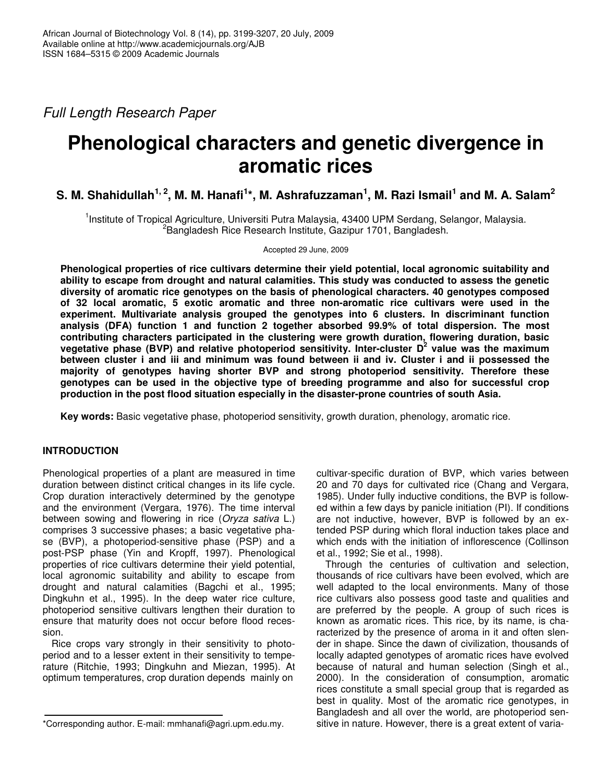*Full Length Research Paper*

# **Phenological characters and genetic divergence in aromatic rices**

S. M. Shahidullah $^{1,\,2}$ , M. M. Hanafi $^{1*}$ , M. Ashrafuzzaman $^{1}$ , M. Razi Ismail $^{1}$  and M. A. Salam $^{2}$ 

<sup>1</sup>Institute of Tropical Agriculture, Universiti Putra Malaysia, 43400 UPM Serdang, Selangor, Malaysia. <sup>2</sup>Bangladesh Rice Research Institute, Gazipur 1701, Bangladesh.

Accepted 29 June, 2009

**Phenological properties of rice cultivars determine their yield potential, local agronomic suitability and ability to escape from drought and natural calamities. This study was conducted to assess the genetic diversity of aromatic rice genotypes on the basis of phenological characters. 40 genotypes composed of 32 local aromatic, 5 exotic aromatic and three non-aromatic rice cultivars were used in the experiment. Multivariate analysis grouped the genotypes into 6 clusters. In discriminant function analysis (DFA) function 1 and function 2 together absorbed 99.9% of total dispersion. The most contributing characters participated in the clustering were growth duration, flowering duration, basic vegetative phase (BVP) and relative photoperiod sensitivity. Inter-cluster D 2 value was the maximum** between cluster i and iii and minimum was found between ii and iv. Cluster i and ii possessed the **majority of genotypes having shorter BVP and strong photoperiod sensitivity. Therefore these genotypes can be used in the objective type of breeding programme and also for successful crop production in the post flood situation especially in the disaster-prone countries of south Asia.**

**Key words:** Basic vegetative phase, photoperiod sensitivity, growth duration, phenology, aromatic rice.

# **INTRODUCTION**

Phenological properties of a plant are measured in time duration between distinct critical changes in its life cycle. Crop duration interactively determined by the genotype and the environment (Vergara, 1976). The time interval between sowing and flowering in rice (*Oryza sativa* L.) comprises 3 successive phases; a basic vegetative phase (BVP), a photoperiod-sensitive phase (PSP) and a post-PSP phase (Yin and Kropff, 1997). Phenological properties of rice cultivars determine their yield potential, local agronomic suitability and ability to escape from drought and natural calamities (Bagchi et al., 1995; Dingkuhn et al., 1995). In the deep water rice culture, photoperiod sensitive cultivars lengthen their duration to ensure that maturity does not occur before flood recession.

Rice crops vary strongly in their sensitivity to photoperiod and to a lesser extent in their sensitivity to temperature (Ritchie, 1993; Dingkuhn and Miezan, 1995). At optimum temperatures, crop duration depends mainly on

cultivar-specific duration of BVP, which varies between 20 and 70 days for cultivated rice (Chang and Vergara, 1985). Under fully inductive conditions, the BVP is followed within a few days by panicle initiation (PI). If conditions are not inductive, however, BVP is followed by an extended PSP during which floral induction takes place and which ends with the initiation of inflorescence (Collinson et al., 1992; Sie et al., 1998).

Through the centuries of cultivation and selection, thousands of rice cultivars have been evolved, which are well adapted to the local environments. Many of those rice cultivars also possess good taste and qualities and are preferred by the people. A group of such rices is known as aromatic rices. This rice, by its name, is characterized by the presence of aroma in it and often slender in shape. Since the dawn of civilization, thousands of locally adapted genotypes of aromatic rices have evolved because of natural and human selection (Singh et al., 2000). In the consideration of consumption, aromatic rices constitute a small special group that is regarded as best in quality. Most of the aromatic rice genotypes, in Bangladesh and all over the world, are photoperiod sensitive in nature. However, there is a great extent of varia-

<sup>\*</sup>Corresponding author. E-mail: mmhanafi@agri.upm.edu.my.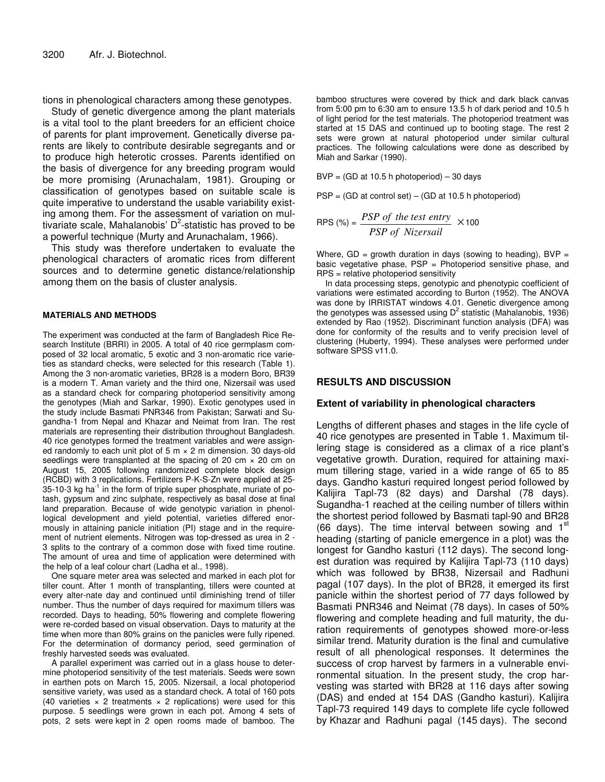tions in phenological characters among these genotypes.

Study of genetic divergence among the plant materials is a vital tool to the plant breeders for an efficient choice of parents for plant improvement. Genetically diverse parents are likely to contribute desirable segregants and or to produce high heterotic crosses. Parents identified on the basis of divergence for any breeding program would be more promising (Arunachalam, 1981). Grouping or classification of genotypes based on suitable scale is quite imperative to understand the usable variability existing among them. For the assessment of variation on multivariate scale, Mahalanobis' D<sup>2</sup>-statistic has proved to be a powerful technique (Murty and Arunachalam, 1966).

This study was therefore undertaken to evaluate the phenological characters of aromatic rices from different sources and to determine genetic distance/relationship among them on the basis of cluster analysis.

#### **MATERIALS AND METHODS**

The experiment was conducted at the farm of Bangladesh Rice Research Institute (BRRI) in 2005. A total of 40 rice germplasm composed of 32 local aromatic, 5 exotic and 3 non-aromatic rice varieties as standard checks, were selected for this research (Table 1). Among the 3 non-aromatic varieties, BR28 is a modern Boro, BR39 is a modern T. Aman variety and the third one, Nizersail was used as a standard check for comparing photoperiod sensitivity among the genotypes (Miah and Sarkar, 1990). Exotic genotypes used in the study include Basmati PNR346 from Pakistan; Sarwati and Sugandha-1 from Nepal and Khazar and Neimat from Iran. The rest materials are representing their distribution throughout Bangladesh. 40 rice genotypes formed the treatment variables and were assigned randomly to each unit plot of 5  $m \times 2$  m dimension. 30 days-old seedlings were transplanted at the spacing of 20 cm  $\times$  20 cm on August 15, 2005 following randomized complete block design (RCBD) with 3 replications. Fertilizers P-K-S-Zn were applied at 25- 35-10-3 kg ha $^{-1}$  in the form of triple super phosphate, muriate of potash, gypsum and zinc sulphate, respectively as basal dose at final land preparation. Because of wide genotypic variation in phenollogical development and yield potential, varieties differed enormously in attaining panicle initiation (PI) stage and in the requirement of nutrient elements. Nitrogen was top-dressed as urea in 2 - 3 splits to the contrary of a common dose with fixed time routine. The amount of urea and time of application were determined with the help of a leaf colour chart (Ladha et al., 1998).

One square meter area was selected and marked in each plot for tiller count. After 1 month of transplanting, tillers were counted at every alter-nate day and continued until diminishing trend of tiller number. Thus the number of days required for maximum tillers was recorded. Days to heading, 50% flowering and complete flowering were re-corded based on visual observation. Days to maturity at the time when more than 80% grains on the panicles were fully ripened. For the determination of dormancy period, seed germination of freshly harvested seeds was evaluated.

A parallel experiment was carried out in a glass house to determine photoperiod sensitivity of the test materials. Seeds were sown in earthen pots on March 15, 2005. Nizersail, a local photoperiod sensitive variety, was used as a standard check. A total of 160 pots (40 varieties  $\times$  2 treatments  $\times$  2 replications) were used for this purpose. 5 seedlings were grown in each pot. Among 4 sets of pots, 2 sets were kept in 2 open rooms made of bamboo. The

bamboo structures were covered by thick and dark black canvas from 5:00 pm to 6:30 am to ensure 13.5 h of dark period and 10.5 h of light period for the test materials. The photoperiod treatment was started at 15 DAS and continued up to booting stage. The rest 2 sets were grown at natural photoperiod under similar cultural practices. The following calculations were done as described by Miah and Sarkar (1990).

 $BVP = (GD at 10.5 h photoperiod) - 30 days$ 

 $PSP = (GD at control set) - (GD at 10.5 h photoperiod)$ 

$$
RPS \text{ (%)} = \frac{PSP \text{ of the test entry}}{PSP \text{ of Nizers} all} \times 100
$$

Where,  $GD =$  growth duration in days (sowing to heading), BVP = basic vegetative phase, PSP = Photoperiod sensitive phase, and RPS = relative photoperiod sensitivity

In data processing steps, genotypic and phenotypic coefficient of variations were estimated according to Burton (1952). The ANOVA was done by IRRISTAT windows 4.01. Genetic divergence among the genotypes was assessed using  $D^2$  statistic (Mahalanobis, 1936) extended by Rao (1952). Discriminant function analysis (DFA) was done for conformity of the results and to verify precision level of clustering (Huberty, 1994). These analyses were performed under software SPSS v11.0.

## **RESULTS AND DISCUSSION**

#### **Extent of variability in phenological characters**

Lengths of different phases and stages in the life cycle of 40 rice genotypes are presented in Table 1. Maximum tillering stage is considered as a climax of a rice plant's vegetative growth. Duration, required for attaining maximum tillering stage, varied in a wide range of 65 to 85 days. Gandho kasturi required longest period followed by Kalijira Tapl-73 (82 days) and Darshal (78 days). Sugandha-1 reached at the ceiling number of tillers within the shortest period followed by Basmati tapl-90 and BR28 (66 days). The time interval between sowing and  $1<sup>st</sup>$ heading (starting of panicle emergence in a plot) was the longest for Gandho kasturi (112 days). The second longest duration was required by Kalijira Tapl-73 (110 days) which was followed by BR38, Nizersail and Radhuni pagal (107 days). In the plot of BR28, it emerged its first panicle within the shortest period of 77 days followed by Basmati PNR346 and Neimat (78 days). In cases of 50% flowering and complete heading and full maturity, the duration requirements of genotypes showed more-or-less similar trend. Maturity duration is the final and cumulative result of all phenological responses. It determines the success of crop harvest by farmers in a vulnerable environmental situation. In the present study, the crop harvesting was started with BR28 at 116 days after sowing (DAS) and ended at 154 DAS (Gandho kasturi). Kalijira Tapl-73 required 149 days to complete life cycle followed by Khazar and Radhuni pagal (145 days). The second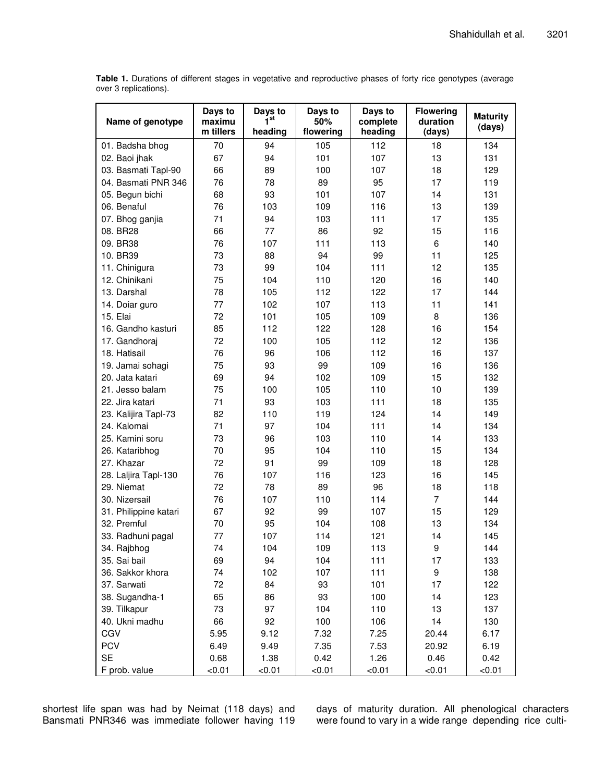**Table 1.** Durations of different stages in vegetative and reproductive phases of forty rice genotypes (average over 3 replications).

| Name of genotype      | Days to<br>maximu<br>m tillers | Days to<br>1 <sup>st</sup><br>heading | Days to<br>50%<br>flowering | Days to<br>complete<br>heading | <b>Flowering</b><br>duration<br>(days) | <b>Maturity</b><br>(days) |
|-----------------------|--------------------------------|---------------------------------------|-----------------------------|--------------------------------|----------------------------------------|---------------------------|
| 01. Badsha bhog       | 70                             | 94                                    | 105                         | 112                            | 18                                     | 134                       |
| 02. Baoi jhak         | 67                             | 94                                    | 101                         | 107                            | 13                                     | 131                       |
| 03. Basmati Tapl-90   | 66                             | 89                                    | 100                         | 107                            | 18                                     | 129                       |
| 04. Basmati PNR 346   | 76                             | 78                                    | 89                          | 95                             | 17                                     | 119                       |
| 05. Begun bichi       | 68                             | 93                                    | 101                         | 107                            | 14                                     | 131                       |
| 06. Benaful           | 76                             | 103                                   | 109                         | 116                            | 13                                     | 139                       |
| 07. Bhog ganjia       | 71                             | 94                                    | 103                         | 111                            | 17                                     | 135                       |
| 08. BR28              | 66                             | 77                                    | 86                          | 92                             | 15                                     | 116                       |
| 09. BR38              | 76                             | 107                                   | 111                         | 113                            | 6                                      | 140                       |
| 10. BR39              | 73                             | 88                                    | 94                          | 99                             | 11                                     | 125                       |
| 11. Chinigura         | 73                             | 99                                    | 104                         | 111                            | 12                                     | 135                       |
| 12. Chinikani         | 75                             | 104                                   | 110                         | 120                            | 16                                     | 140                       |
| 13. Darshal           | 78                             | 105                                   | 112                         | 122                            | 17                                     | 144                       |
| 14. Doiar guro        | 77                             | 102                                   | 107                         | 113                            | 11                                     | 141                       |
| 15. Elai              | 72                             | 101                                   | 105                         | 109                            | 8                                      | 136                       |
| 16. Gandho kasturi    | 85                             | 112                                   | 122                         | 128                            | 16                                     | 154                       |
| 17. Gandhoraj         | 72                             | 100                                   | 105                         | 112                            | 12                                     | 136                       |
| 18. Hatisail          | 76                             | 96                                    | 106                         | 112                            | 16                                     | 137                       |
| 19. Jamai sohagi      | 75                             | 93                                    | 99                          | 109                            | 16                                     | 136                       |
| 20. Jata katari       | 69                             | 94                                    | 102                         | 109                            | 15                                     | 132                       |
| 21. Jesso balam       | 75                             | 100                                   | 105                         | 110                            | 10                                     | 139                       |
| 22. Jira katari       | 71                             | 93                                    | 103                         | 111                            | 18                                     | 135                       |
| 23. Kalijira Tapl-73  | 82                             | 110                                   | 119                         | 124                            | 14                                     | 149                       |
| 24. Kalomai           | 71                             | 97                                    | 104                         | 111                            | 14                                     | 134                       |
| 25. Kamini soru       | 73                             | 96                                    | 103                         | 110                            | 14                                     | 133                       |
| 26. Kataribhog        | 70                             | 95                                    | 104                         | 110                            | 15                                     | 134                       |
| 27. Khazar            | 72                             | 91                                    | 99                          | 109                            | 18                                     | 128                       |
| 28. Laljira Tapl-130  | 76                             | 107                                   | 116                         | 123                            | 16                                     | 145                       |
| 29. Niemat            | 72                             | 78                                    | 89                          | 96                             | 18                                     | 118                       |
| 30. Nizersail         | 76                             | 107                                   | 110                         | 114                            | $\overline{7}$                         | 144                       |
| 31. Philippine katari | 67                             | 92                                    | 99                          | 107                            | 15                                     | 129                       |
| 32. Premful           | 70                             | 95                                    | 104                         | 108                            | 13                                     | 134                       |
| 33. Radhuni pagal     | 77                             | 107                                   | 114                         | 121                            | 14                                     | 145                       |
| 34. Rajbhog           | 74                             | 104                                   | 109                         | 113                            | 9                                      | 144                       |
| 35. Sai bail          | 69                             | 94                                    | 104                         | 111                            | 17                                     | 133                       |
| 36. Sakkor khora      | 74                             | 102                                   | 107                         | 111                            | 9                                      | 138                       |
| 37. Sarwati           | 72                             | 84                                    | 93                          | 101                            | 17                                     | 122                       |
| 38. Sugandha-1        | 65                             | 86                                    | 93                          | 100                            | 14                                     | 123                       |
| 39. Tilkapur          | 73                             | 97                                    | 104                         | 110                            | 13                                     | 137                       |
| 40. Ukni madhu        | 66                             | 92                                    | 100                         | 106                            | 14                                     | 130                       |
| CGV                   | 5.95                           | 9.12                                  | 7.32                        | 7.25                           | 20.44                                  | 6.17                      |
| <b>PCV</b>            | 6.49                           | 9.49                                  | 7.35                        | 7.53                           | 20.92                                  | 6.19                      |
| <b>SE</b>             | 0.68                           | 1.38                                  | 0.42                        | 1.26                           | 0.46                                   | 0.42                      |
| F prob. value         | < 0.01                         | < 0.01                                | < 0.01                      | < 0.01                         | < 0.01                                 | < 0.01                    |

shortest life span was had by Neimat (118 days) and Bansmati PNR346 was immediate follower having 119

days of maturity duration. All phenological characters were found to vary in a wide range depending rice culti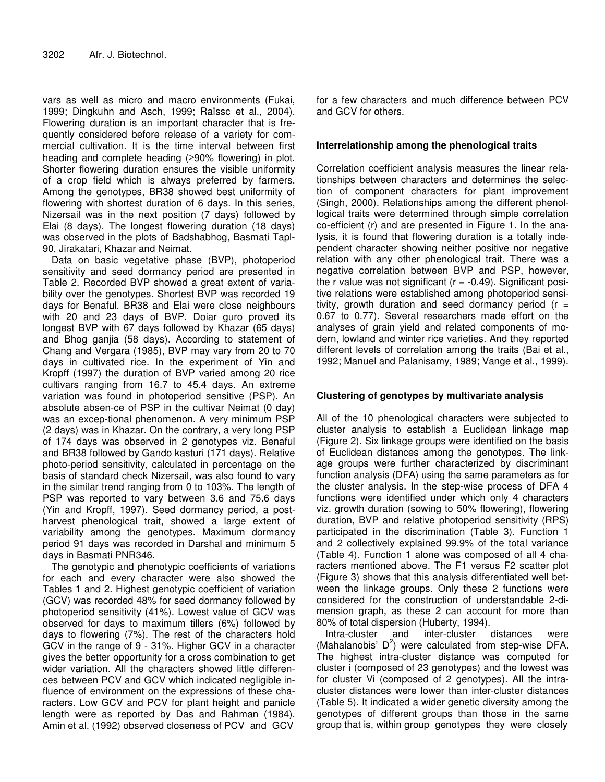vars as well as micro and macro environments (Fukai, 1999; Dingkuhn and Asch, 1999; Raïssc et al., 2004). Flowering duration is an important character that is frequently considered before release of a variety for commercial cultivation. It is the time interval between first heading and complete heading (≥90% flowering) in plot. Shorter flowering duration ensures the visible uniformity of a crop field which is always preferred by farmers. Among the genotypes, BR38 showed best uniformity of flowering with shortest duration of 6 days. In this series, Nizersail was in the next position (7 days) followed by Elai (8 days). The longest flowering duration (18 days) was observed in the plots of Badshabhog, Basmati Tapl-90, Jirakatari, Khazar and Neimat.

Data on basic vegetative phase (BVP), photoperiod sensitivity and seed dormancy period are presented in Table 2. Recorded BVP showed a great extent of variability over the genotypes. Shortest BVP was recorded 19 days for Benaful. BR38 and Elai were close neighbours with 20 and 23 days of BVP. Doiar guro proved its longest BVP with 67 days followed by Khazar (65 days) and Bhog ganjia (58 days). According to statement of Chang and Vergara (1985), BVP may vary from 20 to 70 days in cultivated rice. In the experiment of Yin and Kropff (1997) the duration of BVP varied among 20 rice cultivars ranging from 16.7 to 45.4 days. An extreme variation was found in photoperiod sensitive (PSP). An absolute absen-ce of PSP in the cultivar Neimat (0 day) was an excep-tional phenomenon. A very minimum PSP (2 days) was in Khazar. On the contrary, a very long PSP of 174 days was observed in 2 genotypes viz. Benaful and BR38 followed by Gando kasturi (171 days). Relative photo-period sensitivity, calculated in percentage on the basis of standard check Nizersail, was also found to vary in the similar trend ranging from 0 to 103%. The length of PSP was reported to vary between 3.6 and 75.6 days (Yin and Kropff, 1997). Seed dormancy period, a postharvest phenological trait, showed a large extent of variability among the genotypes. Maximum dormancy period 91 days was recorded in Darshal and minimum 5 days in Basmati PNR346.

The genotypic and phenotypic coefficients of variations for each and every character were also showed the Tables 1 and 2. Highest genotypic coefficient of variation (GCV) was recorded 48% for seed dormancy followed by photoperiod sensitivity (41%). Lowest value of GCV was observed for days to maximum tillers (6%) followed by days to flowering (7%). The rest of the characters hold GCV in the range of 9 - 31%. Higher GCV in a character gives the better opportunity for a cross combination to get wider variation. All the characters showed little differences between PCV and GCV which indicated negligible influence of environment on the expressions of these characters. Low GCV and PCV for plant height and panicle length were as reported by Das and Rahman (1984). Amin et al. (1992) observed closeness of PCV and GCV

for a few characters and much difference between PCV and GCV for others.

## **Interrelationship among the phenological traits**

Correlation coefficient analysis measures the linear relationships between characters and determines the selection of component characters for plant improvement (Singh, 2000). Relationships among the different phenollogical traits were determined through simple correlation co-efficient (r) and are presented in Figure 1. In the analysis, it is found that flowering duration is a totally independent character showing neither positive nor negative relation with any other phenological trait. There was a negative correlation between BVP and PSP, however, the r value was not significant  $(r = -0.49)$ . Significant positive relations were established among photoperiod sensitivity, growth duration and seed dormancy period  $(r =$ 0.67 to 0.77). Several researchers made effort on the analyses of grain yield and related components of modern, lowland and winter rice varieties. And they reported different levels of correlation among the traits (Bai et al., 1992; Manuel and Palanisamy, 1989; Vange et al., 1999).

## **Clustering of genotypes by multivariate analysis**

All of the 10 phenological characters were subjected to cluster analysis to establish a Euclidean linkage map (Figure 2). Six linkage groups were identified on the basis of Euclidean distances among the genotypes. The linkage groups were further characterized by discriminant function analysis (DFA) using the same parameters as for the cluster analysis. In the step-wise process of DFA 4 functions were identified under which only 4 characters viz. growth duration (sowing to 50% flowering), flowering duration, BVP and relative photoperiod sensitivity (RPS) participated in the discrimination (Table 3). Function 1 and 2 collectively explained 99.9% of the total variance (Table 4). Function 1 alone was composed of all 4 characters mentioned above. The F1 versus F2 scatter plot (Figure 3) shows that this analysis differentiated well between the linkage groups. Only these 2 functions were considered for the construction of understandable 2-dimension graph, as these 2 can account for more than 80% of total dispersion (Huberty, 1994).

Intra-cluster and inter-cluster distances were (Mahalanobis'  $D^2$ ) were calculated from step-wise DFA. The highest intra-cluster distance was computed for cluster i (composed of 23 genotypes) and the lowest was for cluster Vi (composed of 2 genotypes). All the intracluster distances were lower than inter-cluster distances (Table 5). It indicated a wider genetic diversity among the genotypes of different groups than those in the same group that is, within group genotypes they were closely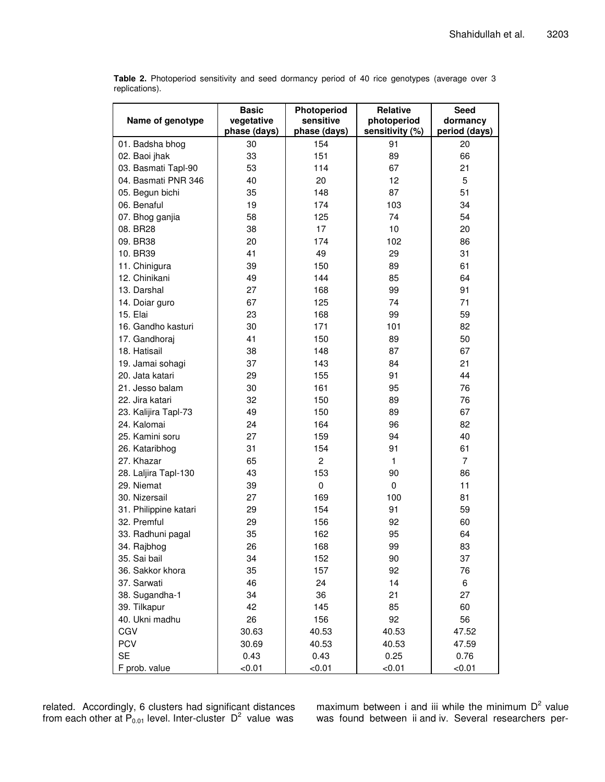| Name of genotype      | <b>Basic</b><br>vegetative<br>phase (days) | Photoperiod<br>sensitive<br>phase (days) | <b>Relative</b><br>photoperiod<br>sensitivity (%) | Seed<br>dormancy<br>period (days) |
|-----------------------|--------------------------------------------|------------------------------------------|---------------------------------------------------|-----------------------------------|
| 01. Badsha bhog       | 30                                         | 154                                      | 91                                                | 20                                |
| 02. Baoi jhak         | 33                                         | 151                                      | 89                                                | 66                                |
| 03. Basmati Tapl-90   | 53                                         | 114                                      | 67                                                | 21                                |
| 04. Basmati PNR 346   | 40                                         | 20                                       | 12                                                | 5                                 |
| 05. Begun bichi       | 35                                         | 148                                      | 87                                                | 51                                |
| 06. Benaful           | 19                                         | 174                                      | 103                                               | 34                                |
| 07. Bhog ganjia       | 58                                         | 125                                      | 74                                                | 54                                |
| 08. BR28              | 38                                         | 17                                       | 10                                                | 20                                |
| 09. BR38              | 20                                         | 174                                      | 102                                               | 86                                |
| 10. BR39              | 41                                         | 49                                       | 29                                                | 31                                |
| 11. Chinigura         | 39                                         | 150                                      | 89                                                | 61                                |
| 12. Chinikani         | 49                                         | 144                                      | 85                                                | 64                                |
| 13. Darshal           | 27                                         | 168                                      | 99                                                | 91                                |
| 14. Doiar guro        | 67                                         | 125                                      | 74                                                | 71                                |
| 15. Elai              | 23                                         | 168                                      | 99                                                | 59                                |
| 16. Gandho kasturi    | 30                                         | 171                                      | 101                                               | 82                                |
| 17. Gandhoraj         | 41                                         | 150                                      | 89                                                | 50                                |
| 18. Hatisail          | 38                                         | 148                                      | 87                                                | 67                                |
| 19. Jamai sohagi      | 37                                         | 143                                      | 84                                                | 21                                |
| 20. Jata katari       | 29                                         | 155                                      | 91                                                | 44                                |
| 21. Jesso balam       | 30                                         | 161                                      | 95                                                | 76                                |
| 22. Jira katari       | 32                                         | 150                                      | 89                                                | 76                                |
| 23. Kalijira Tapl-73  | 49                                         | 150                                      | 89                                                | 67                                |
| 24. Kalomai           | 24                                         | 164                                      | 96                                                | 82                                |
| 25. Kamini soru       | 27                                         | 159                                      | 94                                                | 40                                |
| 26. Kataribhog        | 31                                         | 154                                      | 91                                                | 61                                |
| 27. Khazar            | 65                                         | $\overline{c}$                           | 1                                                 | 7                                 |
| 28. Laljira Tapl-130  | 43                                         | 153                                      | 90                                                | 86                                |
| 29. Niemat            | 39                                         | $\mathbf 0$                              | $\mathbf 0$                                       | 11                                |
| 30. Nizersail         | 27                                         | 169                                      | 100                                               | 81                                |
| 31. Philippine katari | 29                                         | 154                                      | 91                                                | 59                                |
| 32. Premful           | 29                                         | 156                                      | 92                                                | 60                                |
| 33. Radhuni pagal     | 35                                         | 162                                      | 95                                                | 64                                |
| 34. Rajbhog           | 26                                         | 168                                      | 99                                                | 83                                |
| 35. Sai bail          | 34                                         | 152                                      | 90                                                | 37                                |
| 36. Sakkor khora      | 35                                         | 157                                      | 92                                                | 76                                |
| 37. Sarwati           | 46                                         | 24                                       | 14                                                | 6                                 |
| 38. Sugandha-1        | 34                                         | 36                                       | 21                                                | 27                                |
| 39. Tilkapur          | 42                                         | 145                                      | 85                                                | 60                                |
| 40. Ukni madhu        | 26                                         | 156                                      | 92                                                | 56                                |
| CGV                   | 30.63                                      | 40.53                                    | 40.53                                             | 47.52                             |
| <b>PCV</b>            | 30.69                                      | 40.53                                    | 40.53                                             | 47.59                             |
| <b>SE</b>             | 0.43                                       | 0.43                                     | 0.25                                              | 0.76                              |
| F prob. value         | < 0.01                                     | < 0.01                                   | <0.01                                             | < 0.01                            |

**Table 2.** Photoperiod sensitivity and seed dormancy period of 40 rice genotypes (average over 3 replications).

related. Accordingly, 6 clusters had significant distances from each other at  $P_{0.01}$  level. Inter-cluster  $D^2$  value was

maximum between i and iii while the minimum  $D^2$  value was found between ii and iv. Several researchers per-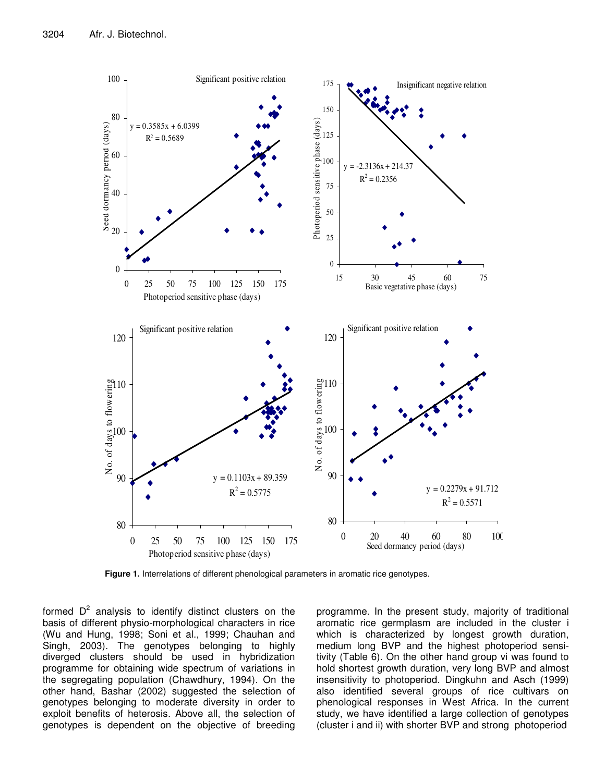

**Figure 1.** Interrelations of different phenological parameters in aromatic rice genotypes.

formed  $D^2$  analysis to identify distinct clusters on the basis of different physio-morphological characters in rice (Wu and Hung, 1998; Soni et al., 1999; Chauhan and Singh, 2003). The genotypes belonging to highly diverged clusters should be used in hybridization programme for obtaining wide spectrum of variations in the segregating population (Chawdhury, 1994). On the other hand, Bashar (2002) suggested the selection of genotypes belonging to moderate diversity in order to exploit benefits of heterosis. Above all, the selection of genotypes is dependent on the objective of breeding

programme. In the present study, majority of traditional aromatic rice germplasm are included in the cluster i which is characterized by longest growth duration, medium long BVP and the highest photoperiod sensitivity (Table 6). On the other hand group vi was found to hold shortest growth duration, very long BVP and almost insensitivity to photoperiod. Dingkuhn and Asch (1999) also identified several groups of rice cultivars on phenological responses in West Africa. In the current study, we have identified a large collection of genotypes (cluster i and ii) with shorter BVP and strong photoperiod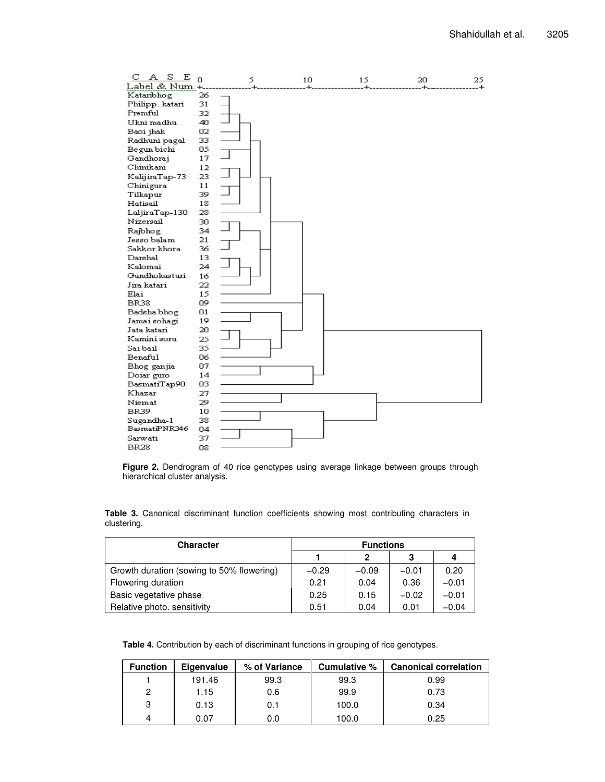

**Figure 2.** Dendrogram of 40 rice genotypes using average linkage between groups through hierarchical cluster analysis.

**Table 3.** Canonical discriminant function coefficients showing most contributing characters in clustering.

| Character                                 | <b>Functions</b> |         |         |         |
|-------------------------------------------|------------------|---------|---------|---------|
|                                           |                  | 2       | З       | 4       |
| Growth duration (sowing to 50% flowering) | $-0.29$          | $-0.09$ | $-0.01$ | 0.20    |
| Flowering duration                        | 0.21             | 0.04    | 0.36    | $-0.01$ |
| Basic vegetative phase                    | 0.25             | 0.15    | $-0.02$ | $-0.01$ |
| Relative photo. sensitivity               | 0.51             | 0.04    | 0.01    | $-0.04$ |

**Table 4.** Contribution by each of discriminant functions in grouping of rice genotypes.

| <b>Function</b> | Eigenvalue | % of Variance | Cumulative % | <b>Canonical correlation</b> |
|-----------------|------------|---------------|--------------|------------------------------|
|                 | 191.46     | 99.3          | 99.3         | 0.99                         |
| 2               | 1.15       | 0.6           | 99.9         | 0.73                         |
| З               | 0.13       | 0.1           | 100.0        | 0.34                         |
|                 | 0.07       | 0.0           | 100.0        | 0.25                         |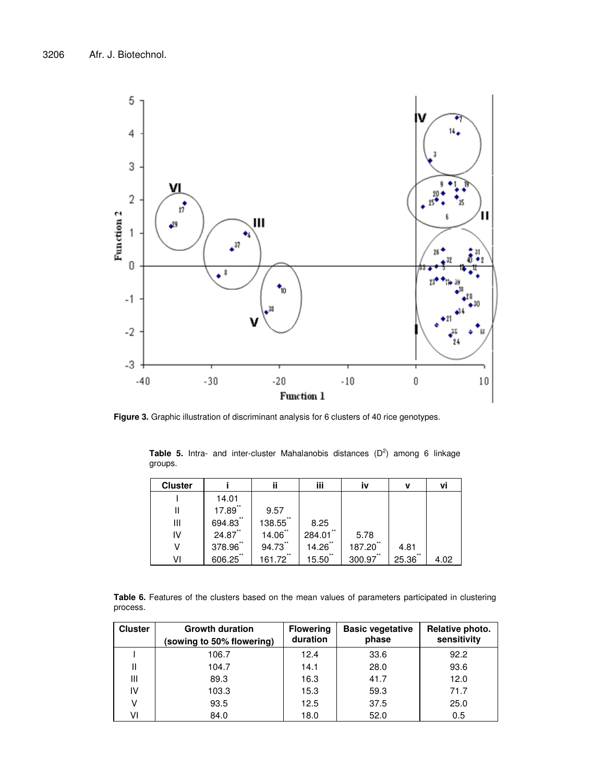

**Figure 3.** Graphic illustration of discriminant analysis for 6 clusters of 40 rice genotypes.

**Table 5.** Intra- and inter-cluster Mahalanobis distances (D 2 ) among 6 linkage groups.

| <b>Cluster</b> |              | ij           | iii            | iv              | v           | ٧i   |
|----------------|--------------|--------------|----------------|-----------------|-------------|------|
|                | 14.01        |              |                |                 |             |      |
| Ш              | $17.89$ **   | 9.57         |                |                 |             |      |
| Ш              | 694.83**     | **<br>138.55 | 8.25           |                 |             |      |
| IV             | $24.87$ **   | $14.06$ **   | $**$<br>284.01 | 5.78            |             |      |
| ٧              | **<br>378.96 | 94.73"       | **<br>14.26    | $***$<br>187.20 | 4.81        |      |
| V١             | 606.25"      | 161.72**     | **<br>15.50    | 300.97"         | **<br>25.36 | 4.02 |

**Table 6.** Features of the clusters based on the mean values of parameters participated in clustering process.

| <b>Cluster</b> | <b>Growth duration</b><br>(sowing to 50% flowering) | <b>Flowering</b><br>duration | <b>Basic vegetative</b><br>phase | Relative photo.<br>sensitivity |
|----------------|-----------------------------------------------------|------------------------------|----------------------------------|--------------------------------|
|                | 106.7                                               | 12.4                         | 33.6                             | 92.2                           |
|                | 104.7                                               | 14.1                         | 28.0                             | 93.6                           |
| Ш              | 89.3                                                | 16.3                         | 41.7                             | 12.0                           |
| IV             | 103.3                                               | 15.3                         | 59.3                             | 71.7                           |
| v              | 93.5                                                | 12.5                         | 37.5                             | 25.0                           |
| V١             | 84.0                                                | 18.0                         | 52.0                             | 0.5                            |